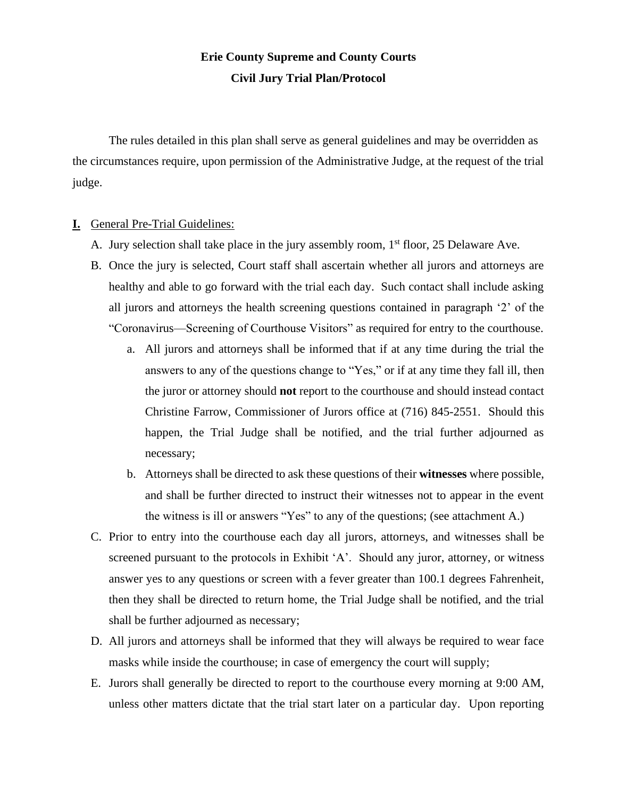# **Erie County Supreme and County Courts Civil Jury Trial Plan/Protocol**

The rules detailed in this plan shall serve as general guidelines and may be overridden as the circumstances require, upon permission of the Administrative Judge, at the request of the trial judge.

#### **I.** General Pre-Trial Guidelines:

- A. Jury selection shall take place in the jury assembly room,  $1<sup>st</sup>$  floor, 25 Delaware Ave.
- B. Once the jury is selected, Court staff shall ascertain whether all jurors and attorneys are healthy and able to go forward with the trial each day. Such contact shall include asking all jurors and attorneys the health screening questions contained in paragraph '2' of the "Coronavirus—Screening of Courthouse Visitors" as required for entry to the courthouse.
	- a. All jurors and attorneys shall be informed that if at any time during the trial the answers to any of the questions change to "Yes," or if at any time they fall ill, then the juror or attorney should **not** report to the courthouse and should instead contact Christine Farrow, Commissioner of Jurors office at (716) 845-2551. Should this happen, the Trial Judge shall be notified, and the trial further adjourned as necessary;
	- b. Attorneys shall be directed to ask these questions of their **witnesses** where possible, and shall be further directed to instruct their witnesses not to appear in the event the witness is ill or answers "Yes" to any of the questions; (see attachment A.)
- C. Prior to entry into the courthouse each day all jurors, attorneys, and witnesses shall be screened pursuant to the protocols in Exhibit 'A'. Should any juror, attorney, or witness answer yes to any questions or screen with a fever greater than 100.1 degrees Fahrenheit, then they shall be directed to return home, the Trial Judge shall be notified, and the trial shall be further adjourned as necessary;
- D. All jurors and attorneys shall be informed that they will always be required to wear face masks while inside the courthouse; in case of emergency the court will supply;
- E. Jurors shall generally be directed to report to the courthouse every morning at 9:00 AM, unless other matters dictate that the trial start later on a particular day. Upon reporting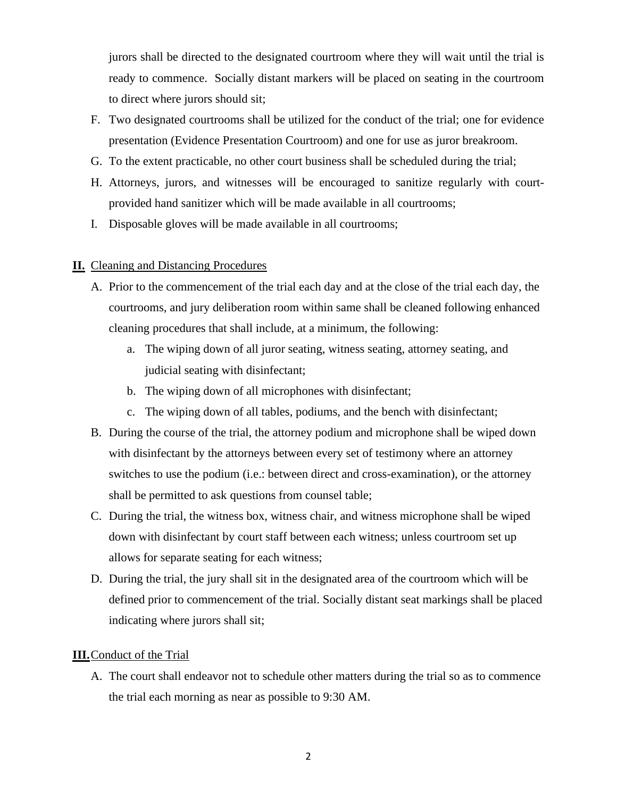jurors shall be directed to the designated courtroom where they will wait until the trial is ready to commence. Socially distant markers will be placed on seating in the courtroom to direct where jurors should sit;

- F. Two designated courtrooms shall be utilized for the conduct of the trial; one for evidence presentation (Evidence Presentation Courtroom) and one for use as juror breakroom.
- G. To the extent practicable, no other court business shall be scheduled during the trial;
- H. Attorneys, jurors, and witnesses will be encouraged to sanitize regularly with courtprovided hand sanitizer which will be made available in all courtrooms;
- I. Disposable gloves will be made available in all courtrooms;

## **II.** Cleaning and Distancing Procedures

- A. Prior to the commencement of the trial each day and at the close of the trial each day, the courtrooms, and jury deliberation room within same shall be cleaned following enhanced cleaning procedures that shall include, at a minimum, the following:
	- a. The wiping down of all juror seating, witness seating, attorney seating, and judicial seating with disinfectant;
	- b. The wiping down of all microphones with disinfectant;
	- c. The wiping down of all tables, podiums, and the bench with disinfectant;
- B. During the course of the trial, the attorney podium and microphone shall be wiped down with disinfectant by the attorneys between every set of testimony where an attorney switches to use the podium (i.e.: between direct and cross-examination), or the attorney shall be permitted to ask questions from counsel table;
- C. During the trial, the witness box, witness chair, and witness microphone shall be wiped down with disinfectant by court staff between each witness; unless courtroom set up allows for separate seating for each witness;
- D. During the trial, the jury shall sit in the designated area of the courtroom which will be defined prior to commencement of the trial. Socially distant seat markings shall be placed indicating where jurors shall sit;

## **III.**Conduct of the Trial

A. The court shall endeavor not to schedule other matters during the trial so as to commence the trial each morning as near as possible to 9:30 AM.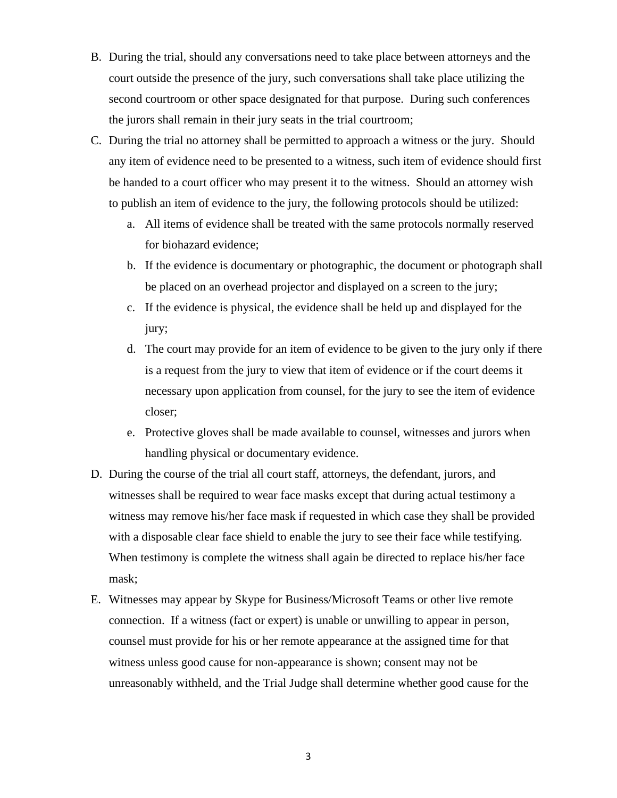- B. During the trial, should any conversations need to take place between attorneys and the court outside the presence of the jury, such conversations shall take place utilizing the second courtroom or other space designated for that purpose. During such conferences the jurors shall remain in their jury seats in the trial courtroom;
- C. During the trial no attorney shall be permitted to approach a witness or the jury. Should any item of evidence need to be presented to a witness, such item of evidence should first be handed to a court officer who may present it to the witness. Should an attorney wish to publish an item of evidence to the jury, the following protocols should be utilized:
	- a. All items of evidence shall be treated with the same protocols normally reserved for biohazard evidence;
	- b. If the evidence is documentary or photographic, the document or photograph shall be placed on an overhead projector and displayed on a screen to the jury;
	- c. If the evidence is physical, the evidence shall be held up and displayed for the jury;
	- d. The court may provide for an item of evidence to be given to the jury only if there is a request from the jury to view that item of evidence or if the court deems it necessary upon application from counsel, for the jury to see the item of evidence closer;
	- e. Protective gloves shall be made available to counsel, witnesses and jurors when handling physical or documentary evidence.
- D. During the course of the trial all court staff, attorneys, the defendant, jurors, and witnesses shall be required to wear face masks except that during actual testimony a witness may remove his/her face mask if requested in which case they shall be provided with a disposable clear face shield to enable the jury to see their face while testifying. When testimony is complete the witness shall again be directed to replace his/her face mask;
- E. Witnesses may appear by Skype for Business/Microsoft Teams or other live remote connection. If a witness (fact or expert) is unable or unwilling to appear in person, counsel must provide for his or her remote appearance at the assigned time for that witness unless good cause for non-appearance is shown; consent may not be unreasonably withheld, and the Trial Judge shall determine whether good cause for the

3